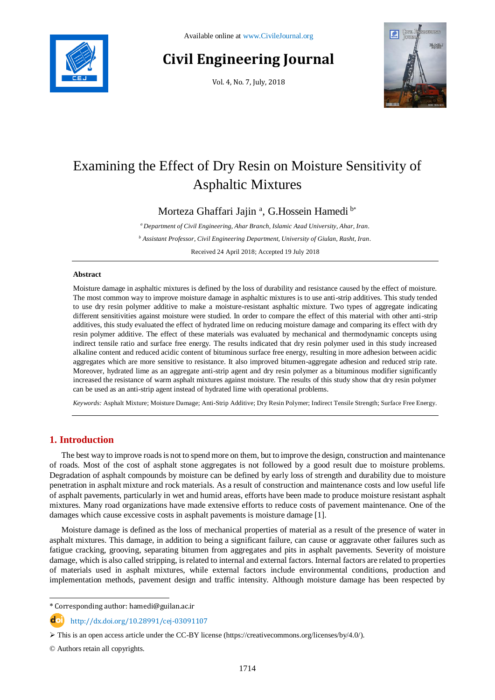

# **Civil Engineering Journal**

Vol. 4, No. 7, July, 2018



# Examining the Effect of Dry Resin on Moisture Sensitivity of Asphaltic Mixtures

Morteza Ghaffari Jajin<sup>a</sup>, G.Hossein Hamedi<sup>b\*</sup>

*<sup>a</sup> Department of Civil Engineering, Ahar Branch, Islamic Azad University, Ahar, Iran.*

*<sup>b</sup> Assistant Professor, Civil Engineering Department, University of Giulan, Rasht, Iran.*

Received 24 April 2018; Accepted 19 July 2018

## **Abstract**

Moisture damage in asphaltic mixtures is defined by the loss of durability and resistance caused by the effect of moisture. The most common way to improve moisture damage in asphaltic mixtures is to use anti-strip additives. This study tended to use dry resin polymer additive to make a moisture-resistant asphaltic mixture. Two types of aggregate indicating different sensitivities against moisture were studied. In order to compare the effect of this material with other anti-strip additives, this study evaluated the effect of hydrated lime on reducing moisture damage and comparing its effect with dry resin polymer additive. The effect of these materials was evaluated by mechanical and thermodynamic concepts using indirect tensile ratio and surface free energy. The results indicated that dry resin polymer used in this study increased alkaline content and reduced acidic content of bituminous surface free energy, resulting in more adhesion between acidic aggregates which are more sensitive to resistance. It also improved bitumen-aggregate adhesion and reduced strip rate. Moreover, hydrated lime as an aggregate anti-strip agent and dry resin polymer as a bituminous modifier significantly increased the resistance of warm asphalt mixtures against moisture. The results of this study show that dry resin polymer can be used as an anti-strip agent instead of hydrated lime with operational problems.

*Keywords:* Asphalt Mixture; Moisture Damage; Anti-Strip Additive; Dry Resin Polymer; Indirect Tensile Strength; Surface Free Energy.

# **1. Introduction**

The best way to improve roads is not to spend more on them, but to improve the design, construction and maintenance of roads. Most of the cost of asphalt stone aggregates is not followed by a good result due to moisture problems. Degradation of asphalt compounds by moisture can be defined by early loss of strength and durability due to moisture penetration in asphalt mixture and rock materials. As a result of construction and maintenance costs and low useful life of asphalt pavements, particularly in wet and humid areas, efforts have been made to produce moisture resistant asphalt mixtures. Many road organizations have made extensive efforts to reduce costs of pavement maintenance. One of the damages which cause excessive costs in asphalt pavements is moisture damage [1].

Moisture damage is defined as the loss of mechanical properties of material as a result of the presence of water in asphalt mixtures. This damage, in addition to being a significant failure, can cause or aggravate other failures such as fatigue cracking, grooving, separating bitumen from aggregates and pits in asphalt pavements. Severity of moisture damage, which is also called stripping, is related to internal and external factors. Internal factors are related to properties of materials used in asphalt mixtures, while external factors include environmental conditions, production and implementation methods, pavement design and traffic intensity. Although moisture damage has been respected by

\* Corresponding author: hamedi@guilan.ac.ir

http://dx.doi.org/10.28991/cej-03091107

© Authors retain all copyrights.

l

 $\triangleright$  This is an open access article under the CC-BY license [\(https://creativecommons.org/licenses/by/4.0/\)](https://creativecommons.org/licenses/by/4.0/).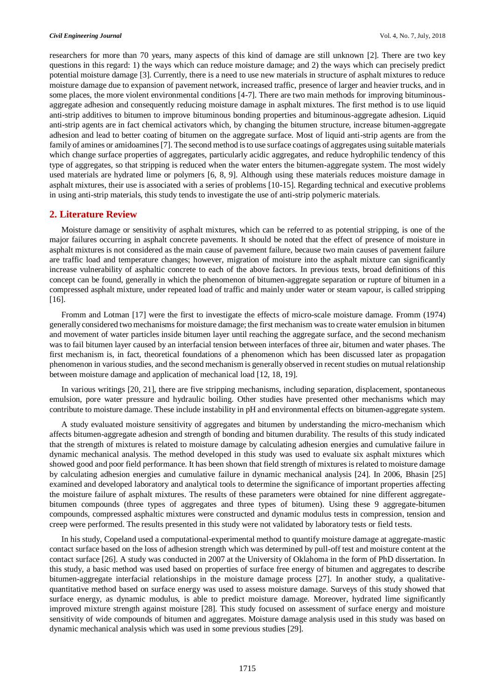researchers for more than 70 years, many aspects of this kind of damage are still unknown [2]. There are two key questions in this regard: 1) the ways which can reduce moisture damage; and 2) the ways which can precisely predict potential moisture damage [3]. Currently, there is a need to use new materials in structure of asphalt mixtures to reduce moisture damage due to expansion of pavement network, increased traffic, presence of larger and heavier trucks, and in some places, the more violent environmental conditions [4-7]. There are two main methods for improving bituminousaggregate adhesion and consequently reducing moisture damage in asphalt mixtures. The first method is to use liquid anti-strip additives to bitumen to improve bituminous bonding properties and bituminous-aggregate adhesion. Liquid anti-strip agents are in fact chemical activators which, by changing the bitumen structure, increase bitumen-aggregate adhesion and lead to better coating of bitumen on the aggregate surface. Most of liquid anti-strip agents are from the family of amines or amidoamines [7]. The second method is to use surface coatings of aggregates using suitable materials which change surface properties of aggregates, particularly acidic aggregates, and reduce hydrophilic tendency of this type of aggregates, so that stripping is reduced when the water enters the bitumen-aggregate system. The most widely used materials are hydrated lime or polymers [6, 8, 9]. Although using these materials reduces moisture damage in asphalt mixtures, their use is associated with a series of problems [10-15]. Regarding technical and executive problems in using anti-strip materials, this study tends to investigate the use of anti-strip polymeric materials.

## **2. Literature Review**

Moisture damage or sensitivity of asphalt mixtures, which can be referred to as potential stripping, is one of the major failures occurring in asphalt concrete pavements. It should be noted that the effect of presence of moisture in asphalt mixtures is not considered as the main cause of pavement failure, because two main causes of pavement failure are traffic load and temperature changes; however, migration of moisture into the asphalt mixture can significantly increase vulnerability of asphaltic concrete to each of the above factors. In previous texts, broad definitions of this concept can be found, generally in which the phenomenon of bitumen-aggregate separation or rupture of bitumen in a compressed asphalt mixture, under repeated load of traffic and mainly under water or steam vapour, is called stripping [16].

Fromm and Lotman [17] were the first to investigate the effects of micro-scale moisture damage. Fromm (1974) generally considered two mechanisms for moisture damage; the first mechanism was to create water emulsion in bitumen and movement of water particles inside bitumen layer until reaching the aggregate surface, and the second mechanism was to fail bitumen layer caused by an interfacial tension between interfaces of three air, bitumen and water phases. The first mechanism is, in fact, theoretical foundations of a phenomenon which has been discussed later as propagation phenomenon in various studies, and the second mechanism is generally observed in recent studies on mutual relationship between moisture damage and application of mechanical load [12, 18, 19].

In various writings [20, 21], there are five stripping mechanisms, including separation, displacement, spontaneous emulsion, pore water pressure and hydraulic boiling. Other studies have presented other mechanisms which may contribute to moisture damage. These include instability in pH and environmental effects on bitumen-aggregate system.

A study evaluated moisture sensitivity of aggregates and bitumen by understanding the micro-mechanism which affects bitumen-aggregate adhesion and strength of bonding and bitumen durability. The results of this study indicated that the strength of mixtures is related to moisture damage by calculating adhesion energies and cumulative failure in dynamic mechanical analysis. The method developed in this study was used to evaluate six asphalt mixtures which showed good and poor field performance. It has been shown that field strength of mixtures is related to moisture damage by calculating adhesion energies and cumulative failure in dynamic mechanical analysis [24]. In 2006, Bhasin [25] examined and developed laboratory and analytical tools to determine the significance of important properties affecting the moisture failure of asphalt mixtures. The results of these parameters were obtained for nine different aggregatebitumen compounds (three types of aggregates and three types of bitumen). Using these 9 aggregate-bitumen compounds, compressed asphaltic mixtures were constructed and dynamic modulus tests in compression, tension and creep were performed. The results presented in this study were not validated by laboratory tests or field tests.

In his study, Copeland used a computational-experimental method to quantify moisture damage at aggregate-mastic contact surface based on the loss of adhesion strength which was determined by pull-off test and moisture content at the contact surface [26]. A study was conducted in 2007 at the University of Oklahoma in the form of PhD dissertation. In this study, a basic method was used based on properties of surface free energy of bitumen and aggregates to describe bitumen-aggregate interfacial relationships in the moisture damage process [27]. In another study, a qualitativequantitative method based on surface energy was used to assess moisture damage. Surveys of this study showed that surface energy, as dynamic modulus, is able to predict moisture damage. Moreover, hydrated lime significantly improved mixture strength against moisture [28]. This study focused on assessment of surface energy and moisture sensitivity of wide compounds of bitumen and aggregates. Moisture damage analysis used in this study was based on dynamic mechanical analysis which was used in some previous studies [29].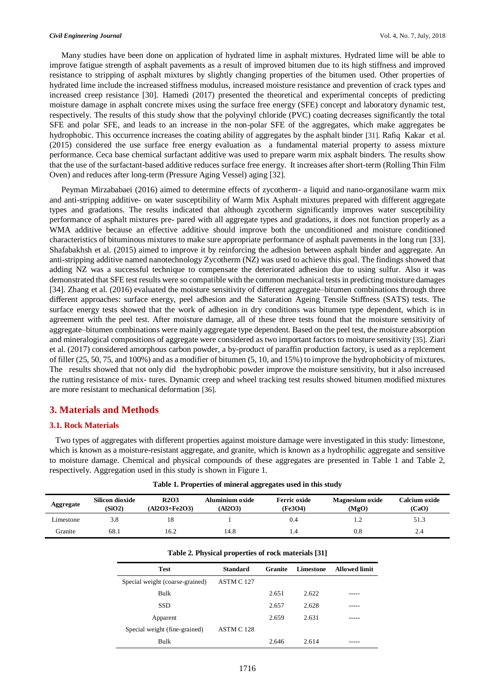Many studies have been done on application of hydrated lime in asphalt mixtures. Hydrated lime will be able to improve fatigue strength of asphalt pavements as a result of improved bitumen due to its high stiffness and improved resistance to stripping of asphalt mixtures by slightly changing properties of the bitumen used. Other properties of hydrated lime include the increased stiffness modulus, increased moisture resistance and prevention of crack types and increased creep resistance [30]. Hamedi (2017) presented the theoretical and experimental concepts of predicting moisture damage in asphalt concrete mixes using the surface free energy (SFE) concept and laboratory dynamic test, respectively. The results of this study show that the polyvinyl chloride (PVC) coating decreases significantly the total SFE and polar SFE, and leads to an increase in the non-polar SFE of the aggregates, which make aggregates be hydrophobic. This occurrence increases the coating ability of aggregates by the asphalt binder [31]. Rafiq Kakar et al. (2015) considered the use surface free energy evaluation as a fundamental material property to assess mixture performance. Ceca base chemical surfactant additive was used to prepare warm mix asphalt binders. The results show that the use of the surfactant-based additive reduces surface free energy. It increases after short-term (Rolling Thin Film Oven) and reduces after long-term (Pressure Aging Vessel) aging [32].

Peyman Mirzababaei (2016) aimed to determine effects of zycotherm- a liquid and nano-organosilane warm mix and anti-stripping additive- on water susceptibility of Warm Mix Asphalt mixtures prepared with different aggregate types and gradations. The results indicated that although zycotherm significantly improves water susceptibility performance of asphalt mixtures pre- pared with all aggregate types and gradations, it does not function properly as a WMA additive because an effective additive should improve both the unconditioned and moisture conditioned characteristics of bituminous mixtures to make sure appropriate performance of asphalt pavements in the long run [33]. Shafabakhsh et al. (2015) aimed to improve it by reinforcing the adhesion between asphalt binder and aggregate. An anti-stripping additive named nanotechnology Zycotherm (NZ) was used to achieve this goal. The findings showed that adding NZ was a successful technique to compensate the deteriorated adhesion due to using sulfur. Also it was demonstrated that SFE test results were so compatible with the common mechanical tests in predicting moisture damages [34]. Zhang et al. (2016) evaluated the moisture sensitivity of different aggregate–bitumen combinations through three different approaches: surface energy, peel adhesion and the Saturation Ageing Tensile Stiffness (SATS) tests. The surface energy tests showed that the work of adhesion in dry conditions was bitumen type dependent, which is in agreement with the peel test. After moisture damage, all of these three tests found that the moisture sensitivity of aggregate–bitumen combinations were mainly aggregate type dependent. Based on the peel test, the moisture absorption and mineralogical compositions of aggregate were considered as two important factors to moisture sensitivity [35]. Ziari et al. (2017) considered amorphous carbon powder, a by-product of paraffin production factory, is used as a replcement of filler (25, 50, 75, and 100%) and as a modifier of bitumen (5, 10, and 15%) to improve the hydrophobicity of mixtures. The results showed that not only did the hydrophobic powder improve the moisture sensitivity, but it also increased the rutting resistance of mix- tures. Dynamic creep and wheel tracking test results showed bitumen modified mixtures are more resistant to mechanical deformation [36].

# **3. Materials and Methods**

#### **3.1. Rock Materials**

Two types of aggregates with different properties against moisture damage were investigated in this study: limestone, which is known as a moisture-resistant aggregate, and granite, which is known as a hydrophilic aggregate and sensitive to moisture damage. Chemical and physical compounds of these aggregates are presented in Table 1 and Table 2, respectively. Aggregation used in this study is shown in Figure 1.

| Aggregate | Silicon dioxide<br>(SiO2) | <b>R2O3</b><br>$(A12O3 + Fe2O3)$ | Aluminium oxide<br>(A12O3) | <b>Ferric oxide</b><br>(Fe3O4) | <b>Magnesium oxide</b><br>(MgO) | Calcium oxide<br>(CaO) |
|-----------|---------------------------|----------------------------------|----------------------------|--------------------------------|---------------------------------|------------------------|
| Limestone | 3.8                       |                                  |                            | 0.4                            |                                 | 51.3                   |
| Granite   | 68.1                      | 16.2                             | 14.8                       | 1.4                            | $_{\rm 0.8}$                    | 2.4                    |

**Table 1. Properties of mineral aggregates used in this study**

| Table 2. Physical properties of rock materials [31] |                       |         |           |                      |  |  |  |
|-----------------------------------------------------|-----------------------|---------|-----------|----------------------|--|--|--|
| <b>Test</b>                                         | <b>Standard</b>       | Granite | Limestone | <b>Allowed limit</b> |  |  |  |
| Special weight (coarse-grained)                     | ASTM C 127            |         |           |                      |  |  |  |
| Bulk                                                |                       | 2.651   | 2.622     |                      |  |  |  |
| <b>SSD</b>                                          |                       | 2.657   | 2.628     |                      |  |  |  |
| Apparent                                            |                       | 2.659   | 2.631     |                      |  |  |  |
| Special weight (fine-grained)                       | ASTM C <sub>128</sub> |         |           |                      |  |  |  |
| Bulk                                                |                       | 2.646   | 2.614     |                      |  |  |  |

# 1716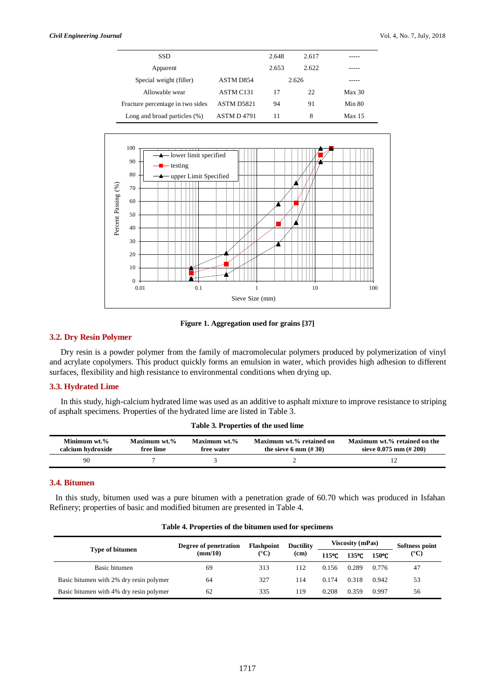| <b>SSD</b>                       |            | 2.648 | 2.617 |               |
|----------------------------------|------------|-------|-------|---------------|
| Apparent                         |            | 2.653 | 2.622 |               |
| Special weight (filler)          | ASTM D854  |       | 2.626 |               |
| Allowable wear                   | ASTM C131  | 17    | 22    | Max 30        |
| Fracture percentage in two sides | ASTM D5821 | 94    | 91    | Min 80        |
| Long and broad particles $(\%)$  | ASTM D4791 | 11    | 8     | <b>Max 15</b> |



**Figure 1. Aggregation used for grains [37]**

# **3.2. Dry Resin Polymer**

Dry resin is a powder polymer from the family of macromolecular polymers produced by polymerization of vinyl and acrylate copolymers. This product quickly forms an emulsion in water, which provides high adhesion to different surfaces, flexibility and high resistance to environmental conditions when drying up.

## **3.3. Hydrated Lime**

In this study, high-calcium hydrated lime was used as an additive to asphalt mixture to improve resistance to striping of asphalt specimens. Properties of the hydrated lime are listed in Table 3.

**Table 3. Properties of the used lime**

| Minimum wt.%<br>calcium hydroxide | Maximum wt.%<br>free lime | Maximum wt.%<br>free water | Maximum wt.% retained on<br>the sieve 6 mm $(\# 30)$ | Maximum wt.% retained on the<br>sieve $0.075$ mm $(\# 200)$ |
|-----------------------------------|---------------------------|----------------------------|------------------------------------------------------|-------------------------------------------------------------|
| 90                                |                           |                            |                                                      |                                                             |

#### **3.4. Bitumen**

In this study, bitumen used was a pure bitumen with a penetration grade of 60.70 which was produced in Isfahan Refinery; properties of basic and modified bitumen are presented in Table 4.

| Table 4. Properties of the bitumen used for specimens |  |  |  |  |
|-------------------------------------------------------|--|--|--|--|
|-------------------------------------------------------|--|--|--|--|

|                                         | Degree of penetration        | Flashpoint            | <b>Ductility</b>  |       | <b>Viscosity (mPas)</b> | Softness point |               |
|-----------------------------------------|------------------------------|-----------------------|-------------------|-------|-------------------------|----------------|---------------|
| Type of bitumen                         | $\text{m}/\text{m}/\text{m}$ | $({}^{\circ}{\bf C})$ | (c <sub>m</sub> ) | 115°C | 135°C                   | 150°C          | $(^{\circ}C)$ |
| Basic bitumen                           | 69                           | 313                   | 112               | 0.156 | 0.289                   | 0.776          | 47            |
| Basic bitumen with 2% dry resin polymer | 64                           | 327                   | 114               | 0.174 | 0.318                   | 0.942          | 53            |
| Basic bitumen with 4% dry resin polymer | 62                           | 335                   | 119               | 0.208 | 0.359                   | 0.997          | 56            |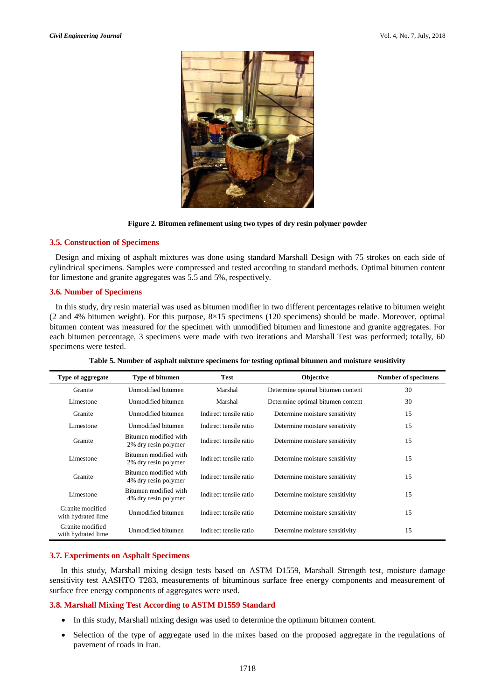

**Figure 2. Bitumen refinement using two types of dry resin polymer powder**

## **3.5. Construction of Specimens**

Design and mixing of asphalt mixtures was done using standard Marshall Design with 75 strokes on each side of cylindrical specimens. Samples were compressed and tested according to standard methods. Optimal bitumen content for limestone and granite aggregates was 5.5 and 5%, respectively.

#### **3.6. Number of Specimens**

In this study, dry resin material was used as bitumen modifier in two different percentages relative to bitumen weight (2 and 4% bitumen weight). For this purpose, 8×15 specimens (120 specimens) should be made. Moreover, optimal bitumen content was measured for the specimen with unmodified bitumen and limestone and granite aggregates. For each bitumen percentage, 3 specimens were made with two iterations and Marshall Test was performed; totally, 60 specimens were tested.

| Type of aggregate                      | Type of bitumen                               | <b>Test</b>            | Objective                         | <b>Number of specimens</b> |
|----------------------------------------|-----------------------------------------------|------------------------|-----------------------------------|----------------------------|
| Granite                                | Unmodified bitumen                            | Marshal                | Determine optimal bitumen content | 30                         |
| Limestone                              | Unmodified bitumen                            | Marshal                | Determine optimal bitumen content | 30                         |
| Granite                                | Unmodified bitumen                            | Indirect tensile ratio | Determine moisture sensitivity    | 15                         |
| Limestone                              | Unmodified bitumen                            | Indirect tensile ratio | Determine moisture sensitivity    | 15                         |
| Granite                                | Bitumen modified with<br>2% dry resin polymer | Indirect tensile ratio | Determine moisture sensitivity    | 15                         |
| Limestone                              | Bitumen modified with<br>2% dry resin polymer | Indirect tensile ratio | Determine moisture sensitivity    | 15                         |
| Granite                                | Bitumen modified with<br>4% dry resin polymer | Indirect tensile ratio | Determine moisture sensitivity    | 15                         |
| Limestone                              | Bitumen modified with<br>4% dry resin polymer | Indirect tensile ratio | Determine moisture sensitivity    | 15                         |
| Granite modified<br>with hydrated lime | Unmodified bitumen                            | Indirect tensile ratio | Determine moisture sensitivity    | 15                         |
| Granite modified<br>with hydrated lime | Unmodified bitumen                            | Indirect tensile ratio | Determine moisture sensitivity    | 15                         |

**Table 5. Number of asphalt mixture specimens for testing optimal bitumen and moisture sensitivity**

#### **3.7. Experiments on Asphalt Specimens**

In this study, Marshall mixing design tests based on ASTM D1559, Marshall Strength test, moisture damage sensitivity test AASHTO T283, measurements of bituminous surface free energy components and measurement of surface free energy components of aggregates were used.

#### **3.8. Marshall Mixing Test According to ASTM D1559 Standard**

- In this study, Marshall mixing design was used to determine the optimum bitumen content.
- Selection of the type of aggregate used in the mixes based on the proposed aggregate in the regulations of pavement of roads in Iran.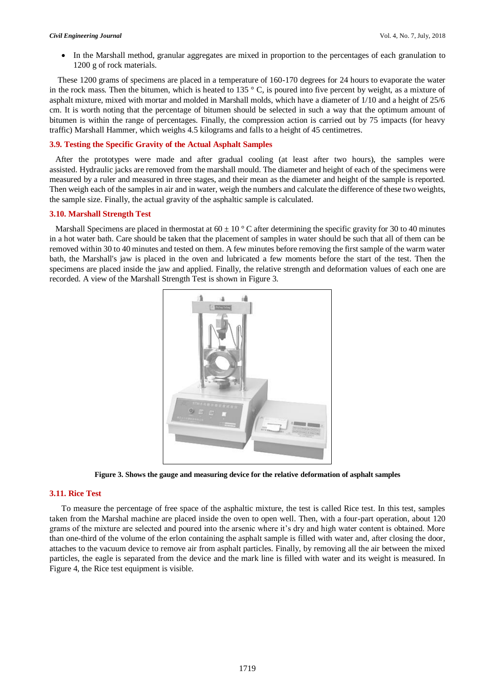In the Marshall method, granular aggregates are mixed in proportion to the percentages of each granulation to 1200 g of rock materials.

These 1200 grams of specimens are placed in a temperature of 160-170 degrees for 24 hours to evaporate the water in the rock mass. Then the bitumen, which is heated to 135  $\degree$  C, is poured into five percent by weight, as a mixture of asphalt mixture, mixed with mortar and molded in Marshall molds, which have a diameter of 1/10 and a height of 25/6 cm. It is worth noting that the percentage of bitumen should be selected in such a way that the optimum amount of bitumen is within the range of percentages. Finally, the compression action is carried out by 75 impacts (for heavy traffic) Marshall Hammer, which weighs 4.5 kilograms and falls to a height of 45 centimetres.

# **3.9. Testing the Specific Gravity of the Actual Asphalt Samples**

After the prototypes were made and after gradual cooling (at least after two hours), the samples were assisted. Hydraulic jacks are removed from the marshall mould. The diameter and height of each of the specimens were measured by a ruler and measured in three stages, and their mean as the diameter and height of the sample is reported. Then weigh each of the samples in air and in water, weigh the numbers and calculate the difference of these two weights, the sample size. Finally, the actual gravity of the asphaltic sample is calculated.

#### **3.10. Marshall Strength Test**

Marshall Specimens are placed in thermostat at  $60 \pm 10$  ° C after determining the specific gravity for 30 to 40 minutes in a hot water bath. Care should be taken that the placement of samples in water should be such that all of them can be removed within 30 to 40 minutes and tested on them. A few minutes before removing the first sample of the warm water bath, the Marshall's jaw is placed in the oven and lubricated a few moments before the start of the test. Then the specimens are placed inside the jaw and applied. Finally, the relative strength and deformation values of each one are recorded. A view of the Marshall Strength Test is shown in Figure 3.



**Figure 3. Shows the gauge and measuring device for the relative deformation of asphalt samples**

#### **3.11. Rice Test**

To measure the percentage of free space of the asphaltic mixture, the test is called Rice test. In this test, samples taken from the Marshal machine are placed inside the oven to open well. Then, with a four-part operation, about 120 grams of the mixture are selected and poured into the arsenic where it's dry and high water content is obtained. More than one-third of the volume of the erlon containing the asphalt sample is filled with water and, after closing the door, attaches to the vacuum device to remove air from asphalt particles. Finally, by removing all the air between the mixed particles, the eagle is separated from the device and the mark line is filled with water and its weight is measured. In Figure 4, the Rice test equipment is visible.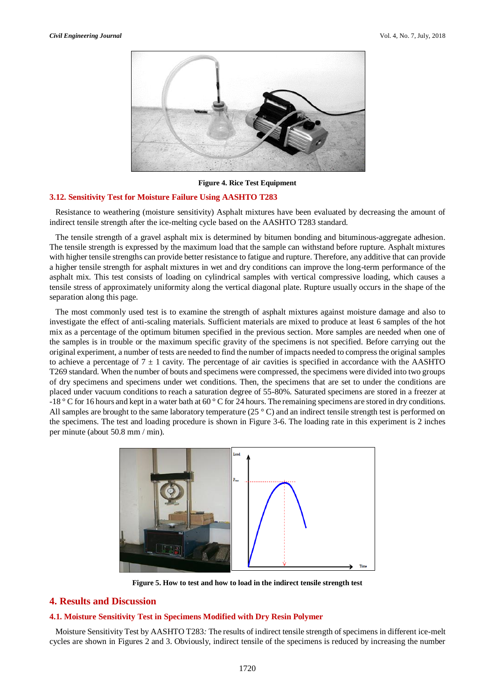

**Figure 4. Rice Test Equipment**

#### **3.12. Sensitivity Test for Moisture Failure Using AASHTO T283**

Resistance to weathering (moisture sensitivity) Asphalt mixtures have been evaluated by decreasing the amount of indirect tensile strength after the ice-melting cycle based on the AASHTO T283 standard.

The tensile strength of a gravel asphalt mix is determined by bitumen bonding and bituminous-aggregate adhesion. The tensile strength is expressed by the maximum load that the sample can withstand before rupture. Asphalt mixtures with higher tensile strengths can provide better resistance to fatigue and rupture. Therefore, any additive that can provide a higher tensile strength for asphalt mixtures in wet and dry conditions can improve the long-term performance of the asphalt mix. This test consists of loading on cylindrical samples with vertical compressive loading, which causes a tensile stress of approximately uniformity along the vertical diagonal plate. Rupture usually occurs in the shape of the separation along this page.

The most commonly used test is to examine the strength of asphalt mixtures against moisture damage and also to investigate the effect of anti-scaling materials. Sufficient materials are mixed to produce at least 6 samples of the hot mix as a percentage of the optimum bitumen specified in the previous section. More samples are needed when one of the samples is in trouble or the maximum specific gravity of the specimens is not specified. Before carrying out the original experiment, a number of tests are needed to find the number of impacts needed to compress the original samples to achieve a percentage of  $7 \pm 1$  cavity. The percentage of air cavities is specified in accordance with the AASHTO T269 standard. When the number of bouts and specimens were compressed, the specimens were divided into two groups of dry specimens and specimens under wet conditions. Then, the specimens that are set to under the conditions are placed under vacuum conditions to reach a saturation degree of 55-80%. Saturated specimens are stored in a freezer at -18 ° C for 16 hours and kept in a water bath at 60 ° C for 24 hours. The remaining specimens are stored in dry conditions. All samples are brought to the same laboratory temperature ( $25^{\circ}$ C) and an indirect tensile strength test is performed on the specimens. The test and loading procedure is shown in Figure 3-6. The loading rate in this experiment is 2 inches per minute (about 50.8 mm / min).



**Figure 5. How to test and how to load in the indirect tensile strength test**

# **4. Results and Discussion**

# **4.1. Moisture Sensitivity Test in Specimens Modified with Dry Resin Polymer**

Moisture Sensitivity Test by AASHTO T283*:* The results of indirect tensile strength of specimens in different ice-melt cycles are shown in Figures 2 and 3. Obviously, indirect tensile of the specimens is reduced by increasing the number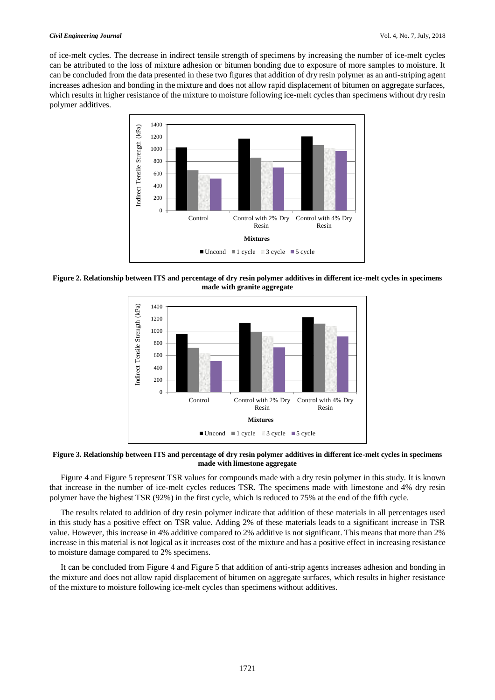#### *Civil Engineering Journal* Vol. 4, No. 7, July, 2018

of ice-melt cycles. The decrease in indirect tensile strength of specimens by increasing the number of ice-melt cycles can be attributed to the loss of mixture adhesion or bitumen bonding due to exposure of more samples to moisture. It can be concluded from the data presented in these two figures that addition of dry resin polymer as an anti-striping agent increases adhesion and bonding in the mixture and does not allow rapid displacement of bitumen on aggregate surfaces, which results in higher resistance of the mixture to moisture following ice-melt cycles than specimens without dry resin polymer additives.



**Figure 2. Relationship between ITS and percentage of dry resin polymer additives in different ice-melt cycles in specimens made with granite aggregate**



**Figure 3. Relationship between ITS and percentage of dry resin polymer additives in different ice-melt cycles in specimens made with limestone aggregate**

Figure 4 and Figure 5 represent TSR values for compounds made with a dry resin polymer in this study. It is known that increase in the number of ice-melt cycles reduces TSR. The specimens made with limestone and 4% dry resin polymer have the highest TSR (92%) in the first cycle, which is reduced to 75% at the end of the fifth cycle.

The results related to addition of dry resin polymer indicate that addition of these materials in all percentages used in this study has a positive effect on TSR value. Adding 2% of these materials leads to a significant increase in TSR value. However, this increase in 4% additive compared to 2% additive is not significant. This means that more than 2% increase in this material is not logical as it increases cost of the mixture and has a positive effect in increasing resistance to moisture damage compared to 2% specimens.

It can be concluded from Figure 4 and Figure 5 that addition of anti-strip agents increases adhesion and bonding in the mixture and does not allow rapid displacement of bitumen on aggregate surfaces, which results in higher resistance of the mixture to moisture following ice-melt cycles than specimens without additives.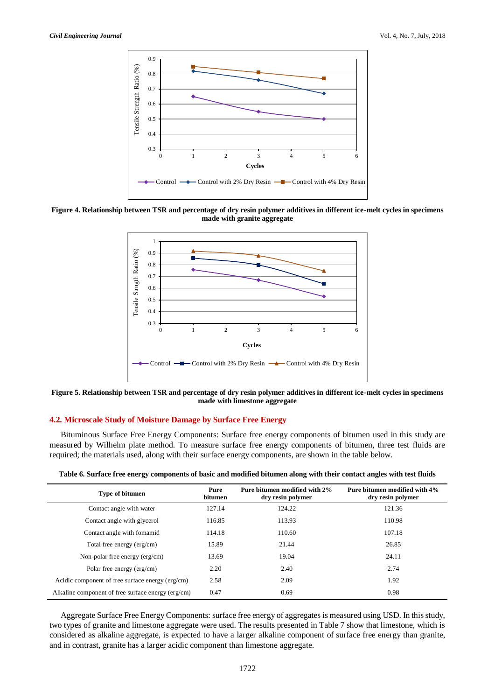

**Figure 4. Relationship between TSR and percentage of dry resin polymer additives in different ice-melt cycles in specimens made with granite aggregate**



**Figure 5. Relationship between TSR and percentage of dry resin polymer additives in different ice-melt cycles in specimens made with limestone aggregate**

### **4.2. Microscale Study of Moisture Damage by Surface Free Energy**

Bituminous Surface Free Energy Components: Surface free energy components of bitumen used in this study are measured by Wilhelm plate method. To measure surface free energy components of bitumen, three test fluids are required; the materials used, along with their surface energy components, are shown in the table below.

| <b>Type of bitumen</b>                             | Pure<br><b>bitumen</b> | Pure bitumen modified with 2%<br>dry resin polymer | Pure bitumen modified with 4%<br>dry resin polymer |
|----------------------------------------------------|------------------------|----------------------------------------------------|----------------------------------------------------|
| Contact angle with water                           | 127.14                 | 124.22                                             | 121.36                                             |
| Contact angle with glycerol                        | 116.85                 | 113.93                                             | 110.98                                             |
| Contact angle with fomamid                         | 114.18                 | 110.60                                             | 107.18                                             |
| Total free energy (erg/cm)                         | 15.89                  | 21.44                                              | 26.85                                              |
| Non-polar free energy (erg/cm)                     | 13.69                  | 19.04                                              | 24.11                                              |
| Polar free energy (erg/cm)                         | 2.20                   | 2.40                                               | 2.74                                               |
| Acidic component of free surface energy (erg/cm)   | 2.58                   | 2.09                                               | 1.92                                               |
| Alkaline component of free surface energy (erg/cm) | 0.47                   | 0.69                                               | 0.98                                               |

**Table 6. Surface free energy components of basic and modified bitumen along with their contact angles with test fluids**

Aggregate Surface Free Energy Components: surface free energy of aggregates is measured using USD. In this study, two types of granite and limestone aggregate were used. The results presented in Table 7 show that limestone, which is considered as alkaline aggregate, is expected to have a larger alkaline component of surface free energy than granite, and in contrast, granite has a larger acidic component than limestone aggregate.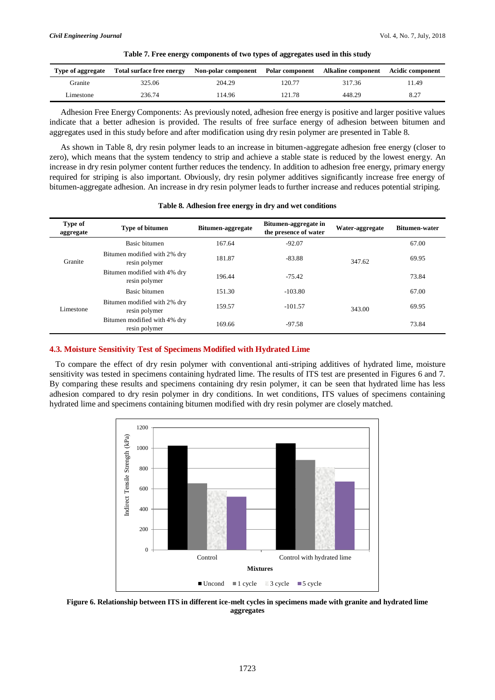| Type of aggregate | Total surface free energy | Non-polar component Polar component Alkaline component Acidic component |        |        |       |
|-------------------|---------------------------|-------------------------------------------------------------------------|--------|--------|-------|
| Granite           | 325.06                    | 204.29                                                                  | 120.77 | 317.36 | 11.49 |
| Limestone         | 236.74                    | 114.96                                                                  | 121.78 | 448.29 | 8.27  |

**Table 7. Free energy components of two types of aggregates used in this study**

Adhesion Free Energy Components: As previously noted, adhesion free energy is positive and larger positive values indicate that a better adhesion is provided. The results of free surface energy of adhesion between bitumen and aggregates used in this study before and after modification using dry resin polymer are presented in Table 8.

As shown in Table 8, dry resin polymer leads to an increase in bitumen-aggregate adhesion free energy (closer to zero), which means that the system tendency to strip and achieve a stable state is reduced by the lowest energy. An increase in dry resin polymer content further reduces the tendency. In addition to adhesion free energy, primary energy required for striping is also important. Obviously, dry resin polymer additives significantly increase free energy of bitumen-aggregate adhesion. An increase in dry resin polymer leads to further increase and reduces potential striping.

| Table 8. Adhesion free energy in dry and wet conditions |  |  |  |  |
|---------------------------------------------------------|--|--|--|--|
|                                                         |  |  |  |  |

| Type of<br>aggregate | <b>Type of bitumen</b>                        | Bitumen-aggregate | Bitumen-aggregate in<br>the presence of water | Water-aggregate | <b>Bitumen-water</b> |
|----------------------|-----------------------------------------------|-------------------|-----------------------------------------------|-----------------|----------------------|
| Granite              | Basic bitumen                                 | 167.64            | $-92.07$                                      |                 | 67.00                |
|                      | Bitumen modified with 2% dry<br>resin polymer | 181.87            | $-83.88$                                      | 347.62          | 69.95                |
|                      | Bitumen modified with 4% dry<br>resin polymer | 196.44            | $-75.42$                                      |                 | 73.84                |
| Limestone            | Basic bitumen                                 | 151.30            | $-103.80$                                     |                 | 67.00                |
|                      | Bitumen modified with 2% dry<br>resin polymer | 159.57            | $-101.57$                                     | 343.00          | 69.95                |
|                      | Bitumen modified with 4% dry<br>resin polymer | 169.66            | $-97.58$                                      |                 | 73.84                |

#### **4.3. Moisture Sensitivity Test of Specimens Modified with Hydrated Lime**

To compare the effect of dry resin polymer with conventional anti-striping additives of hydrated lime, moisture sensitivity was tested in specimens containing hydrated lime. The results of ITS test are presented in Figures 6 and 7. By comparing these results and specimens containing dry resin polymer, it can be seen that hydrated lime has less adhesion compared to dry resin polymer in dry conditions. In wet conditions, ITS values of specimens containing hydrated lime and specimens containing bitumen modified with dry resin polymer are closely matched.



**Figure 6. Relationship between ITS in different ice-melt cycles in specimens made with granite and hydrated lime aggregates**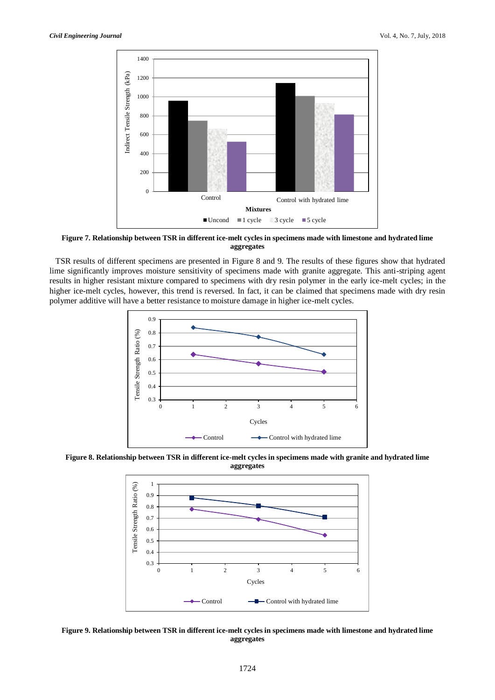

**Figure 7. Relationship between TSR in different ice-melt cycles in specimens made with limestone and hydrated lime aggregates**

TSR results of different specimens are presented in Figure 8 and 9. The results of these figures show that hydrated lime significantly improves moisture sensitivity of specimens made with granite aggregate. This anti-striping agent results in higher resistant mixture compared to specimens with dry resin polymer in the early ice-melt cycles; in the higher ice-melt cycles, however, this trend is reversed. In fact, it can be claimed that specimens made with dry resin polymer additive will have a better resistance to moisture damage in higher ice-melt cycles.



**Figure 8. Relationship between TSR in different ice-melt cycles in specimens made with granite and hydrated lime aggregates**



**Figure 9. Relationship between TSR in different ice-melt cycles in specimens made with limestone and hydrated lime aggregates**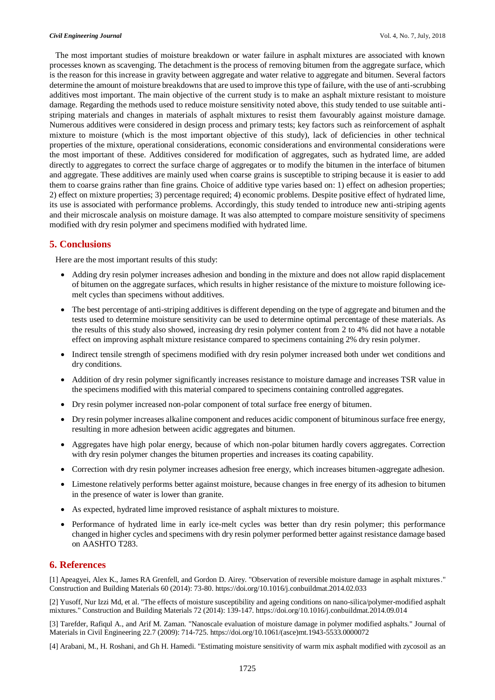The most important studies of moisture breakdown or water failure in asphalt mixtures are associated with known processes known as scavenging. The detachment is the process of removing bitumen from the aggregate surface, which is the reason for this increase in gravity between aggregate and water relative to aggregate and bitumen. Several factors determine the amount of moisture breakdowns that are used to improve this type of failure, with the use of anti-scrubbing additives most important. The main objective of the current study is to make an asphalt mixture resistant to moisture damage. Regarding the methods used to reduce moisture sensitivity noted above, this study tended to use suitable antistriping materials and changes in materials of asphalt mixtures to resist them favourably against moisture damage. Numerous additives were considered in design process and primary tests; key factors such as reinforcement of asphalt mixture to moisture (which is the most important objective of this study), lack of deficiencies in other technical properties of the mixture, operational considerations, economic considerations and environmental considerations were the most important of these. Additives considered for modification of aggregates, such as hydrated lime, are added directly to aggregates to correct the surface charge of aggregates or to modify the bitumen in the interface of bitumen and aggregate. These additives are mainly used when coarse grains is susceptible to striping because it is easier to add them to coarse grains rather than fine grains. Choice of additive type varies based on: 1) effect on adhesion properties; 2) effect on mixture properties; 3) percentage required; 4) economic problems. Despite positive effect of hydrated lime, its use is associated with performance problems. Accordingly, this study tended to introduce new anti-striping agents and their microscale analysis on moisture damage. It was also attempted to compare moisture sensitivity of specimens modified with dry resin polymer and specimens modified with hydrated lime.

# **5. Conclusions**

Here are the most important results of this study:

- Adding dry resin polymer increases adhesion and bonding in the mixture and does not allow rapid displacement of bitumen on the aggregate surfaces, which results in higher resistance of the mixture to moisture following icemelt cycles than specimens without additives.
- The best percentage of anti-striping additives is different depending on the type of aggregate and bitumen and the tests used to determine moisture sensitivity can be used to determine optimal percentage of these materials. As the results of this study also showed, increasing dry resin polymer content from 2 to 4% did not have a notable effect on improving asphalt mixture resistance compared to specimens containing 2% dry resin polymer.
- Indirect tensile strength of specimens modified with dry resin polymer increased both under wet conditions and dry conditions.
- Addition of dry resin polymer significantly increases resistance to moisture damage and increases TSR value in the specimens modified with this material compared to specimens containing controlled aggregates.
- Dry resin polymer increased non-polar component of total surface free energy of bitumen.
- Dry resin polymer increases alkaline component and reduces acidic component of bituminous surface free energy, resulting in more adhesion between acidic aggregates and bitumen.
- Aggregates have high polar energy, because of which non-polar bitumen hardly covers aggregates. Correction with dry resin polymer changes the bitumen properties and increases its coating capability.
- Correction with dry resin polymer increases adhesion free energy, which increases bitumen-aggregate adhesion.
- Limestone relatively performs better against moisture, because changes in free energy of its adhesion to bitumen in the presence of water is lower than granite.
- As expected, hydrated lime improved resistance of asphalt mixtures to moisture.
- Performance of hydrated lime in early ice-melt cycles was better than dry resin polymer; this performance changed in higher cycles and specimens with dry resin polymer performed better against resistance damage based on AASHTO T283.

# **6. References**

[1] Apeagyei, Alex K., James RA Grenfell, and Gordon D. Airey. "Observation of reversible moisture damage in asphalt mixtures." Construction and Building Materials 60 (2014): 73-80. https://doi.org/10.1016/j.conbuildmat.2014.02.033

[2] Yusoff, Nur Izzi Md, et al. "The effects of moisture susceptibility and ageing conditions on nano-silica/polymer-modified asphalt mixtures." Construction and Building Materials 72 (2014): 139-147. https://doi.org/10.1016/j.conbuildmat.2014.09.014

[3] Tarefder, Rafiqul A., and Arif M. Zaman. "Nanoscale evaluation of moisture damage in polymer modified asphalts." Journal of Materials in Civil Engineering 22.7 (2009): 714-725. https://doi.org/10.1061/(asce)mt.1943-5533.0000072

[4] Arabani, M., H. Roshani, and Gh H. Hamedi. "Estimating moisture sensitivity of warm mix asphalt modified with zycosoil as an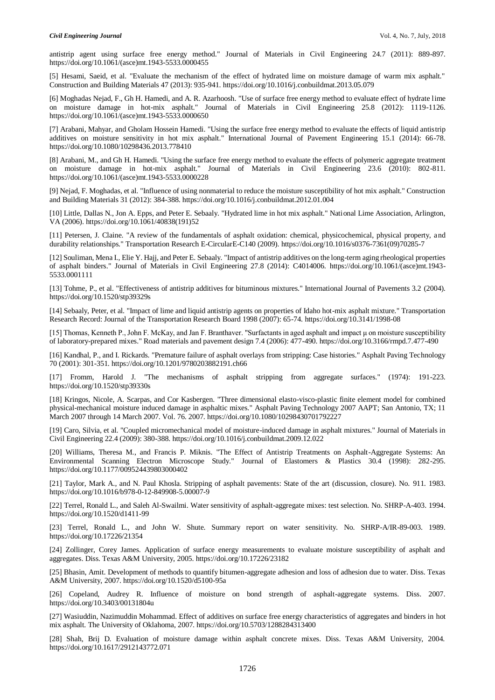antistrip agent using surface free energy method." Journal of Materials in Civil Engineering 24.7 (2011): 889-897. https://doi.org/10.1061/(asce)mt.1943-5533.0000455

[5] Hesami, Saeid, et al. "Evaluate the mechanism of the effect of hydrated lime on moisture damage of warm mix asphalt." Construction and Building Materials 47 (2013): 935-941. https://doi.org/10.1016/j.conbuildmat.2013.05.079

[6] Moghadas Nejad, F., Gh H. Hamedi, and A. R. Azarhoosh. "Use of surface free energy method to evaluate effect of hydrate lime on moisture damage in hot-mix asphalt." Journal of Materials in Civil Engineering 25.8 (2012): 1119-1126. https://doi.org/10.1061/(asce)mt.1943-5533.0000650

[7] Arabani, Mahyar, and Gholam Hossein Hamedi. "Using the surface free energy method to evaluate the effects of liquid antistrip additives on moisture sensitivity in hot mix asphalt." International Journal of Pavement Engineering 15.1 (2014): 66-78. https://doi.org/10.1080/10298436.2013.778410

[8] Arabani, M., and Gh H. Hamedi. "Using the surface free energy method to evaluate the effects of polymeric aggregate treatment on moisture damage in hot-mix asphalt." Journal of Materials in Civil Engineering 23.6 (2010): 802-811. https://doi.org/10.1061/(asce)mt.1943-5533.0000228

[9] Nejad, F. Moghadas, et al. "Influence of using nonmaterial to reduce the moisture susceptibility of hot mix asphalt." Construction and Building Materials 31 (2012): 384-388. https://doi.org/10.1016/j.conbuildmat.2012.01.004

[10] Little, Dallas N., Jon A. Epps, and Peter E. Sebaaly. "Hydrated lime in hot mix asphalt." National Lime Association, Arlington, VA (2006). https://doi.org/10.1061/40838(191)52

[11] Petersen, J. Claine. "A review of the fundamentals of asphalt oxidation: chemical, physicochemical, physical property, and durability relationships." Transportation Research E-CircularE-C140 (2009). https://doi.org/10.1016/s0376-7361(09)70285-7

[12] Souliman, Mena I., Elie Y. Hajj, and Peter E. Sebaaly. "Impact of antistrip additives on the long-term aging rheological properties of asphalt binders." Journal of Materials in Civil Engineering 27.8 (2014): C4014006. https://doi.org/10.1061/(asce)mt.1943- 5533.0001111

[13] Tohme, P., et al. "Effectiveness of antistrip additives for bituminous mixtures." International Journal of Pavements 3.2 (2004). https://doi.org/10.1520/stp39329s

[14] Sebaaly, Peter, et al. "Impact of lime and liquid antistrip agents on properties of Idaho hot-mix asphalt mixture." Transportation Research Record: Journal of the Transportation Research Board 1998 (2007): 65-74. https://doi.org/10.3141/1998-08

[15] Thomas, Kenneth P., John F. McKay, and Jan F. Branthaver. "Surfactants in aged asphalt and impact μ on moisture susceptibility of laboratory-prepared mixes." Road materials and pavement design 7.4 (2006): 477-490. https://doi.org/10.3166/rmpd.7.477-490

[16] Kandhal, P., and I. Rickards. "Premature failure of asphalt overlays from stripping: Case histories." Asphalt Paving Technology 70 (2001): 301-351. https://doi.org/10.1201/9780203882191.ch66

[17] Fromm, Harold J. "The mechanisms of asphalt stripping from aggregate surfaces." (1974): 191-223. https://doi.org/10.1520/stp39330s

[18] Kringos, Nicole, A. Scarpas, and Cor Kasbergen. "Three dimensional elasto-visco-plastic finite element model for combined physical-mechanical moisture induced damage in asphaltic mixes." Asphalt Paving Technology 2007 AAPT; San Antonio, TX; 11 March 2007 through 14 March 2007. Vol. 76. 2007. https://doi.org/10.1080/10298430701792227

[19] Caro, Silvia, et al. "Coupled micromechanical model of moisture-induced damage in asphalt mixtures." Journal of Materials in Civil Engineering 22.4 (2009): 380-388. https://doi.org/10.1016/j.conbuildmat.2009.12.022

[20] Williams, Theresa M., and Francis P. Miknis. "The Effect of Antistrip Treatments on Asphalt-Aggregate Systems: An Environmental Scanning Electron Microscope Study." Journal of Elastomers & Plastics 30.4 (1998): 282-295. https://doi.org/10.1177/009524439803000402

[21] Taylor, Mark A., and N. Paul Khosla. Stripping of asphalt pavements: State of the art (discussion, closure). No. 911. 1983. https://doi.org/10.1016/b978-0-12-849908-5.00007-9

[22] Terrel, Ronald L., and Saleh Al-Swailmi. Water sensitivity of asphalt-aggregate mixes: test selection. No. SHRP-A-403. 1994. https://doi.org/10.1520/d1411-99

[23] Terrel, Ronald L., and John W. Shute. Summary report on water sensitivity. No. SHRP-A/IR-89-003. 1989. https://doi.org/10.17226/21354

[24] Zollinger, Corey James. Application of surface energy measurements to evaluate moisture susceptibility of asphalt and aggregates. Diss. Texas A&M University, 2005. https://doi.org/10.17226/23182

[25] Bhasin, Amit. Development of methods to quantify bitumen-aggregate adhesion and loss of adhesion due to water. Diss. Texas A&M University, 2007. https://doi.org/10.1520/d5100-95a

[26] Copeland, Audrey R. Influence of moisture on bond strength of asphalt-aggregate systems. Diss. 2007. https://doi.org/10.3403/00131804u

[27] Wasiuddin, Nazimuddin Mohammad. Effect of additives on surface free energy characteristics of aggregates and binders in hot mix asphalt. The University of Oklahoma, 2007. https://doi.org/10.5703/1288284313400

[28] Shah, Brij D. Evaluation of moisture damage within asphalt concrete mixes. Diss. Texas A&M University, 2004. https://doi.org/10.1617/2912143772.071